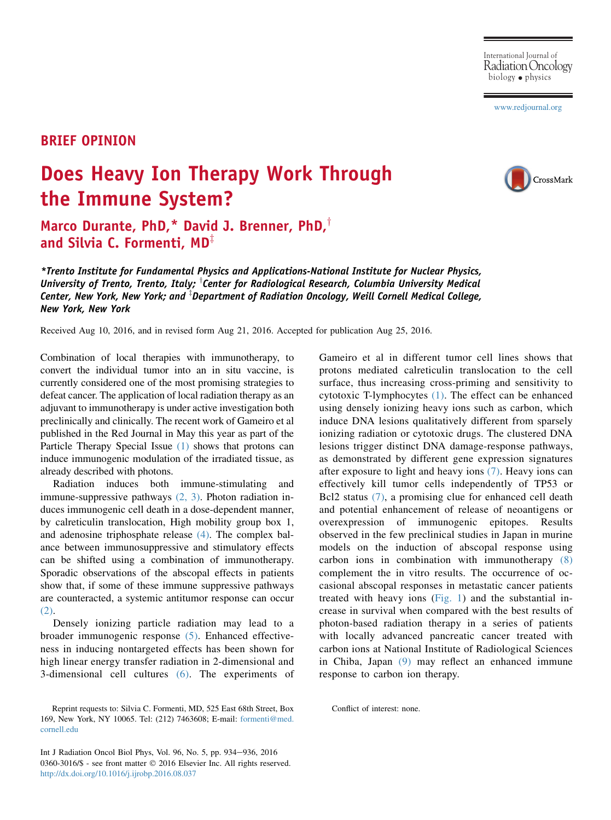[www.redjournal.org](http://www.redjournal.org)

## BRIEF OPINION

## Does Heavy Ion Therapy Work Through the Immune System?



Marco Durante, PhD,\* David J. Brenner, PhD, $<sup>†</sup>$ </sup> and Silvia C. Formenti,  $MD^{\mathbb{I}}$ 

\*Trento Institute for Fundamental Physics and Applications-National Institute for Nuclear Physics, University of Trento, Trento, Italy;  ${}^{\intercal}$ Center for Radiological Research, Columbia University Medical Center, New York, New York; and  ${}^{\scriptscriptstyle\rm \dag}$ Department of Radiation Oncology, Weill Cornell Medical College, New York, New York

Received Aug 10, 2016, and in revised form Aug 21, 2016. Accepted for publication Aug 25, 2016.

Combination of local therapies with immunotherapy, to convert the individual tumor into an in situ vaccine, is currently considered one of the most promising strategies to defeat cancer. The application of local radiation therapy as an adjuvant to immunotherapy is under active investigation both preclinically and clinically. The recent work of Gameiro et al published in the Red Journal in May this year as part of the Particle Therapy Special Issue [\(1\)](#page-2-0) shows that protons can induce immunogenic modulation of the irradiated tissue, as already described with photons.

Radiation induces both immune-stimulating and immune-suppressive pathways [\(2, 3\).](#page-2-0) Photon radiation induces immunogenic cell death in a dose-dependent manner, by calreticulin translocation, High mobility group box 1, and adenosine triphosphate release [\(4\)](#page-2-0). The complex balance between immunosuppressive and stimulatory effects can be shifted using a combination of immunotherapy. Sporadic observations of the abscopal effects in patients show that, if some of these immune suppressive pathways are counteracted, a systemic antitumor response can occur [\(2\).](#page-2-0)

Densely ionizing particle radiation may lead to a broader immunogenic response [\(5\).](#page-2-0) Enhanced effectiveness in inducing nontargeted effects has been shown for high linear energy transfer radiation in 2-dimensional and 3-dimensional cell cultures [\(6\)](#page-2-0). The experiments of

Int J Radiation Oncol Biol Phys, Vol. 96, No. 5, pp. 934-936, 2016 0360-3016/\$ - see front matter © 2016 Elsevier Inc. All rights reserved. <http://dx.doi.org/10.1016/j.ijrobp.2016.08.037>

Gameiro et al in different tumor cell lines shows that protons mediated calreticulin translocation to the cell surface, thus increasing cross-priming and sensitivity to cytotoxic T-lymphocytes [\(1\)](#page-2-0). The effect can be enhanced using densely ionizing heavy ions such as carbon, which induce DNA lesions qualitatively different from sparsely ionizing radiation or cytotoxic drugs. The clustered DNA lesions trigger distinct DNA damage-response pathways, as demonstrated by different gene expression signatures after exposure to light and heavy ions  $(7)$ . Heavy ions can effectively kill tumor cells independently of TP53 or Bcl2 status  $(7)$ , a promising clue for enhanced cell death and potential enhancement of release of neoantigens or overexpression of immunogenic epitopes. Results observed in the few preclinical studies in Japan in murine models on the induction of abscopal response using carbon ions in combination with immunotherapy [\(8\)](#page-2-0) complement the in vitro results. The occurrence of occasional abscopal responses in metastatic cancer patients treated with heavy ions  $(Fig, 1)$  and the substantial increase in survival when compared with the best results of photon-based radiation therapy in a series of patients with locally advanced pancreatic cancer treated with carbon ions at National Institute of Radiological Sciences in Chiba, Japan [\(9\)](#page-2-0) may reflect an enhanced immune response to carbon ion therapy.

Conflict of interest: none.

Reprint requests to: Silvia C. Formenti, MD, 525 East 68th Street, Box 169, New York, NY 10065. Tel: (212) 7463608; E-mail: [formenti@med.](mailto:formenti@med.cornell.edu) [cornell.edu](mailto:formenti@med.cornell.edu)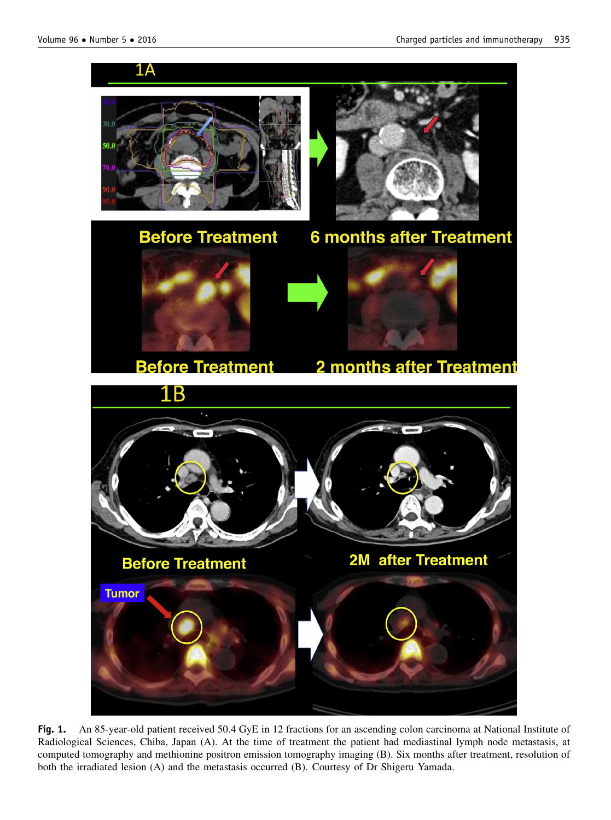<span id="page-1-0"></span>

Fig. 1. An 85-year-old patient received 50.4 GyE in 12 fractions for an ascending colon carcinoma at National Institute of Radiological Sciences, Chiba, Japan (A). At the time of treatment the patient had mediastinal lymph node metastasis, at computed tomography and methionine positron emission tomography imaging (B). Six months after treatment, resolution of both the irradiated lesion (A) and the metastasis occurred (B). Courtesy of Dr Shigeru Yamada.